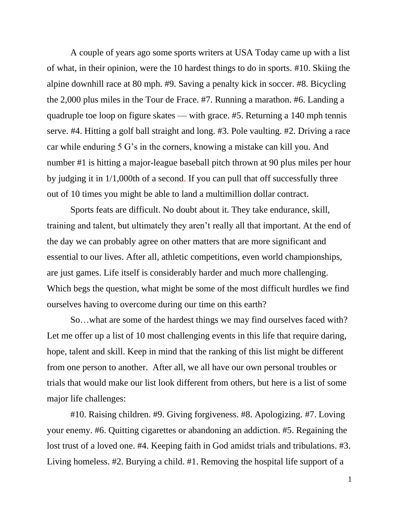A couple of years ago some sports writers at USA Today came up with a list of what, in their opinion, were the 10 hardest things to do in sports. #10. Skiing the alpine downhill race at 80 mph. #9. Saving a penalty kick in soccer. #8. Bicycling the 2,000 plus miles in the Tour de Frace. #7. Running a marathon. #6. Landing a quadruple toe loop on figure skates — with grace. #5. Returning a 140 mph tennis serve. #4. Hitting a golf ball straight and long. #3. Pole vaulting. #2. Driving a race car while enduring 5 G's in the corners, knowing a mistake can kill you. And number #1 is hitting a major-league baseball pitch thrown at 90 plus miles per hour by judging it in 1/1,000th of a second. If you can pull that off successfully three out of 10 times you might be able to land a multimillion dollar contract.

Sports feats are difficult. No doubt about it. They take endurance, skill, training and talent, but ultimately they aren't really all that important. At the end of the day we can probably agree on other matters that are more significant and essential to our lives. After all, athletic competitions, even world championships, are just games. Life itself is considerably harder and much more challenging. Which begs the question, what might be some of the most difficult hurdles we find ourselves having to overcome during our time on this earth?

So…what are some of the hardest things we may find ourselves faced with? Let me offer up a list of 10 most challenging events in this life that require daring, hope, talent and skill. Keep in mind that the ranking of this list might be different from one person to another. After all, we all have our own personal troubles or trials that would make our list look different from others, but here is a list of some major life challenges:

#10. Raising children. #9. Giving forgiveness. #8. Apologizing. #7. Loving your enemy. #6. Quitting cigarettes or abandoning an addiction. #5. Regaining the lost trust of a loved one. #4. Keeping faith in God amidst trials and tribulations. #3. Living homeless. #2. Burying a child. #1. Removing the hospital life support of a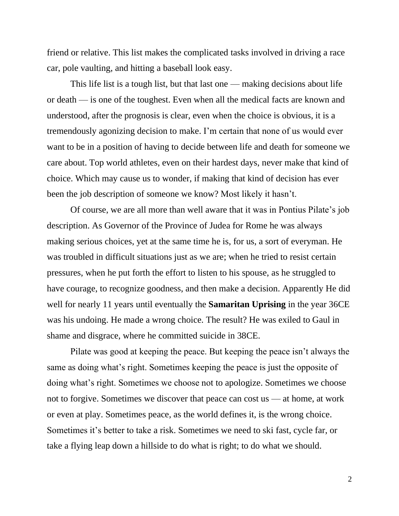friend or relative. This list makes the complicated tasks involved in driving a race car, pole vaulting, and hitting a baseball look easy.

This life list is a tough list, but that last one — making decisions about life or death — is one of the toughest. Even when all the medical facts are known and understood, after the prognosis is clear, even when the choice is obvious, it is a tremendously agonizing decision to make. I'm certain that none of us would ever want to be in a position of having to decide between life and death for someone we care about. Top world athletes, even on their hardest days, never make that kind of choice. Which may cause us to wonder, if making that kind of decision has ever been the job description of someone we know? Most likely it hasn't.

Of course, we are all more than well aware that it was in Pontius Pilate's job description. As Governor of the Province of Judea for Rome he was always making serious choices, yet at the same time he is, for us, a sort of everyman. He was troubled in difficult situations just as we are; when he tried to resist certain pressures, when he put forth the effort to listen to his spouse, as he struggled to have courage, to recognize goodness, and then make a decision. Apparently He did well for nearly 11 years until eventually the **Samaritan Uprising** in the year 36CE was his undoing. He made a wrong choice. The result? He was exiled to Gaul in shame and disgrace, where he committed suicide in 38CE.

Pilate was good at keeping the peace. But keeping the peace isn't always the same as doing what's right. Sometimes keeping the peace is just the opposite of doing what's right. Sometimes we choose not to apologize. Sometimes we choose not to forgive. Sometimes we discover that peace can cost us — at home, at work or even at play. Sometimes peace, as the world defines it, is the wrong choice. Sometimes it's better to take a risk. Sometimes we need to ski fast, cycle far, or take a flying leap down a hillside to do what is right; to do what we should.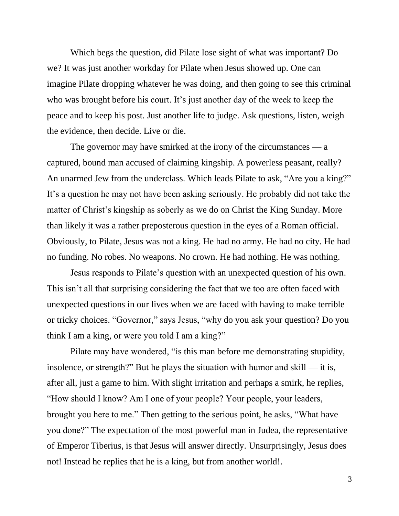Which begs the question, did Pilate lose sight of what was important? Do we? It was just another workday for Pilate when Jesus showed up. One can imagine Pilate dropping whatever he was doing, and then going to see this criminal who was brought before his court. It's just another day of the week to keep the peace and to keep his post. Just another life to judge. Ask questions, listen, weigh the evidence, then decide. Live or die.

The governor may have smirked at the irony of the circumstances — a captured, bound man accused of claiming kingship. A powerless peasant, really? An unarmed Jew from the underclass. Which leads Pilate to ask, "Are you a king?" It's a question he may not have been asking seriously. He probably did not take the matter of Christ's kingship as soberly as we do on Christ the King Sunday. More than likely it was a rather preposterous question in the eyes of a Roman official. Obviously, to Pilate, Jesus was not a king. He had no army. He had no city. He had no funding. No robes. No weapons. No crown. He had nothing. He was nothing.

Jesus responds to Pilate's question with an unexpected question of his own. This isn't all that surprising considering the fact that we too are often faced with unexpected questions in our lives when we are faced with having to make terrible or tricky choices. "Governor," says Jesus, "why do you ask your question? Do you think I am a king, or were you told I am a king?"

Pilate may have wondered, "is this man before me demonstrating stupidity, insolence, or strength?" But he plays the situation with humor and skill — it is, after all, just a game to him. With slight irritation and perhaps a smirk, he replies, "How should I know? Am I one of your people? Your people, your leaders, brought you here to me." Then getting to the serious point, he asks, "What have you done?" The expectation of the most powerful man in Judea, the representative of Emperor Tiberius, is that Jesus will answer directly. Unsurprisingly, Jesus does not! Instead he replies that he is a king, but from another world!.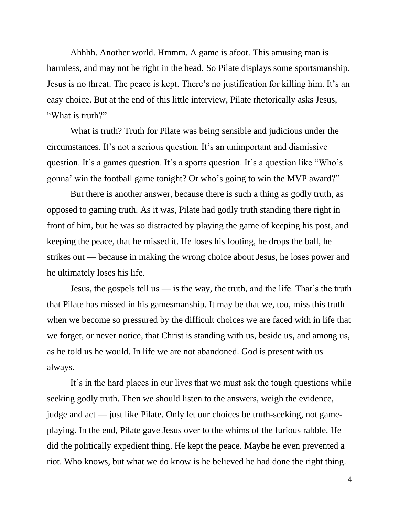Ahhhh. Another world. Hmmm. A game is afoot. This amusing man is harmless, and may not be right in the head. So Pilate displays some sportsmanship. Jesus is no threat. The peace is kept. There's no justification for killing him. It's an easy choice. But at the end of this little interview, Pilate rhetorically asks Jesus, "What is truth?"

What is truth? Truth for Pilate was being sensible and judicious under the circumstances. It's not a serious question. It's an unimportant and dismissive question. It's a games question. It's a sports question. It's a question like "Who's gonna' win the football game tonight? Or who's going to win the MVP award?"

But there is another answer, because there is such a thing as godly truth, as opposed to gaming truth. As it was, Pilate had godly truth standing there right in front of him, but he was so distracted by playing the game of keeping his post, and keeping the peace, that he missed it. He loses his footing, he drops the ball, he strikes out — because in making the wrong choice about Jesus, he loses power and he ultimately loses his life.

Jesus, the gospels tell us  $\frac{1}{10}$  is the way, the truth, and the life. That's the truth that Pilate has missed in his gamesmanship. It may be that we, too, miss this truth when we become so pressured by the difficult choices we are faced with in life that we forget, or never notice, that Christ is standing with us, beside us, and among us, as he told us he would. In life we are not abandoned. God is present with us always.

It's in the hard places in our lives that we must ask the tough questions while seeking godly truth. Then we should listen to the answers, weigh the evidence, judge and act — just like Pilate. Only let our choices be truth-seeking, not gameplaying. In the end, Pilate gave Jesus over to the whims of the furious rabble. He did the politically expedient thing. He kept the peace. Maybe he even prevented a riot. Who knows, but what we do know is he believed he had done the right thing.